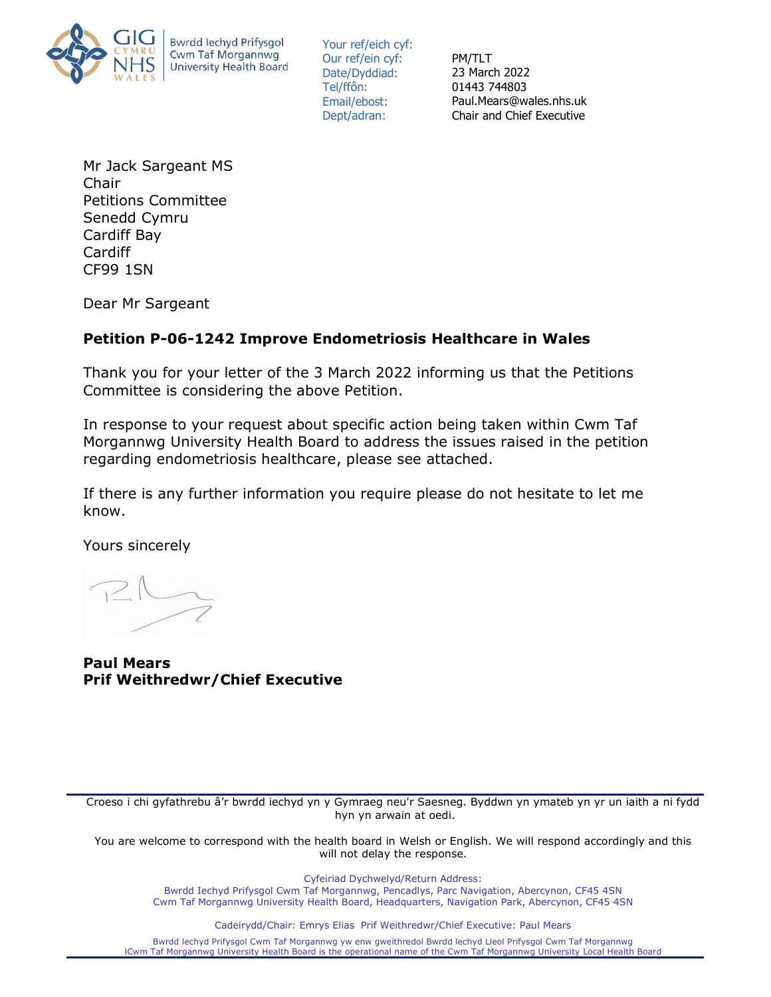

Your ref/eich cyf: Our ref/ein cyf: Date/Dyddiad: Tel/ffôn: Email/ebost: Dept/adran:

PM/TLT 23 March 2022 01443 744803 Paul.Mears@wales.nhs.uk Chair and Chief Executive

Mr Jack Sargeant MS Chair Petitions Committee Senedd Cymru Cardiff Bay Cardiff CF99 1SN

Dear Mr Sargeant

## Petition P-06-1242 Improve Endometriosis Healthcare in Wales

Thank you for your letter of the 3 March 2022 informing us that the Petitions Committee is considering the above Petition.

In response to your request about specific action being taken within Cwm Taf Morgannwg University Health Board to address the issues raised in the petition regarding endometriosis healthcare, please see attached.

If there is any further information you require please do not hesitate to let me know.

Yours sincerely

Paul Mears Prif Weithredwr/Chief Executive

Croeso i chi gyfathrebu â'r bwrdd iechyd yn y Gymraeg neu'r Saesneg. Byddwn yn ymateb yn yr un iaith a ni fydd hyn yn arwain at oedi.

You are welcome to correspond with the health board in Welsh or English. We will respond accordingly and this will not delay the response.

> Cyfeiriad Dychwelyd/Return Address: Bwrdd Iechyd Prifysgol Cwm Taf Morgannwg, Pencadlys, Parc Navigation, Abercynon, CF45 4SN Cwm Taf Morgannwg University Health Board, Headquarters, Navigation Park, Abercynon, CF45 4SN

> > Cadeirydd/Chair: Emrys Elias Prif Weithredwr/Chief Executive: Paul Mears

Bwrdd lechyd Prifysgol Cwm Taf Morgannwg yw enw gweithredol Bwrdd lechyd Lleol Prifysgol Cwm Taf Morgannwg lCwm Taf Morgannwg University Health Board is the operational name of the Cwm Taf Morgannwg University Local Health Board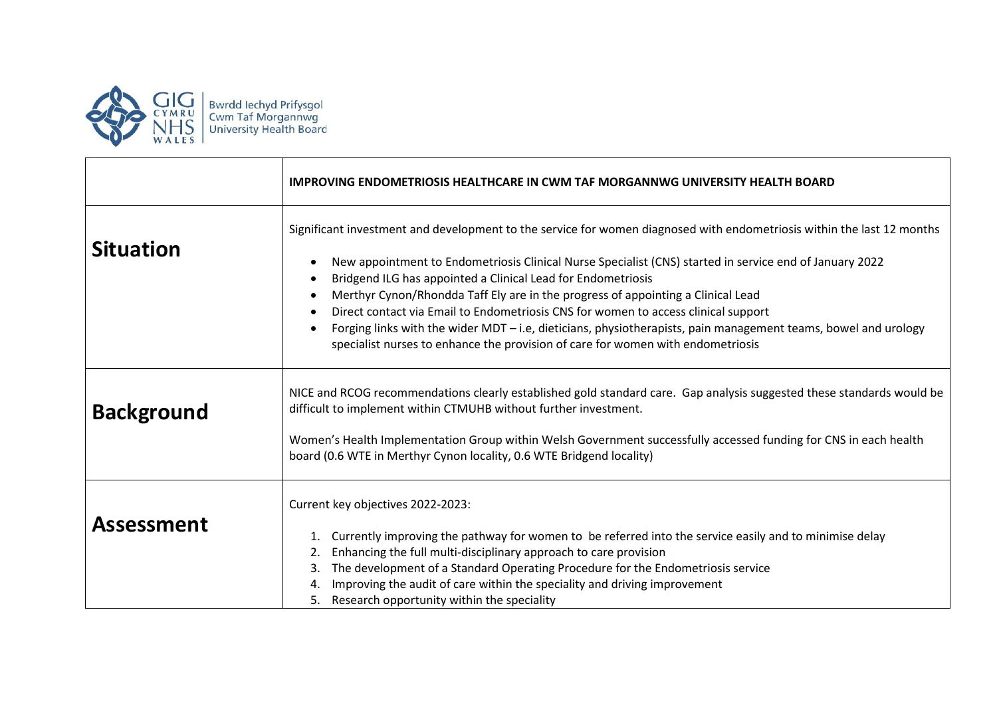

|                   | IMPROVING ENDOMETRIOSIS HEALTHCARE IN CWM TAF MORGANNWG UNIVERSITY HEALTH BOARD                                                                                                                                                                                                                                                                                                                                                                                                                                                                                                                                                                                                  |
|-------------------|----------------------------------------------------------------------------------------------------------------------------------------------------------------------------------------------------------------------------------------------------------------------------------------------------------------------------------------------------------------------------------------------------------------------------------------------------------------------------------------------------------------------------------------------------------------------------------------------------------------------------------------------------------------------------------|
| <b>Situation</b>  | Significant investment and development to the service for women diagnosed with endometriosis within the last 12 months<br>New appointment to Endometriosis Clinical Nurse Specialist (CNS) started in service end of January 2022<br>Bridgend ILG has appointed a Clinical Lead for Endometriosis<br>Merthyr Cynon/Rhondda Taff Ely are in the progress of appointing a Clinical Lead<br>Direct contact via Email to Endometriosis CNS for women to access clinical support<br>Forging links with the wider MDT - i.e, dieticians, physiotherapists, pain management teams, bowel and urology<br>specialist nurses to enhance the provision of care for women with endometriosis |
| <b>Background</b> | NICE and RCOG recommendations clearly established gold standard care. Gap analysis suggested these standards would be<br>difficult to implement within CTMUHB without further investment.<br>Women's Health Implementation Group within Welsh Government successfully accessed funding for CNS in each health<br>board (0.6 WTE in Merthyr Cynon locality, 0.6 WTE Bridgend locality)                                                                                                                                                                                                                                                                                            |
| <b>Assessment</b> | Current key objectives 2022-2023:<br>Currently improving the pathway for women to be referred into the service easily and to minimise delay<br>1.<br>Enhancing the full multi-disciplinary approach to care provision<br>2.<br>The development of a Standard Operating Procedure for the Endometriosis service<br>3.<br>Improving the audit of care within the speciality and driving improvement<br>4.<br>Research opportunity within the speciality<br>5.                                                                                                                                                                                                                      |